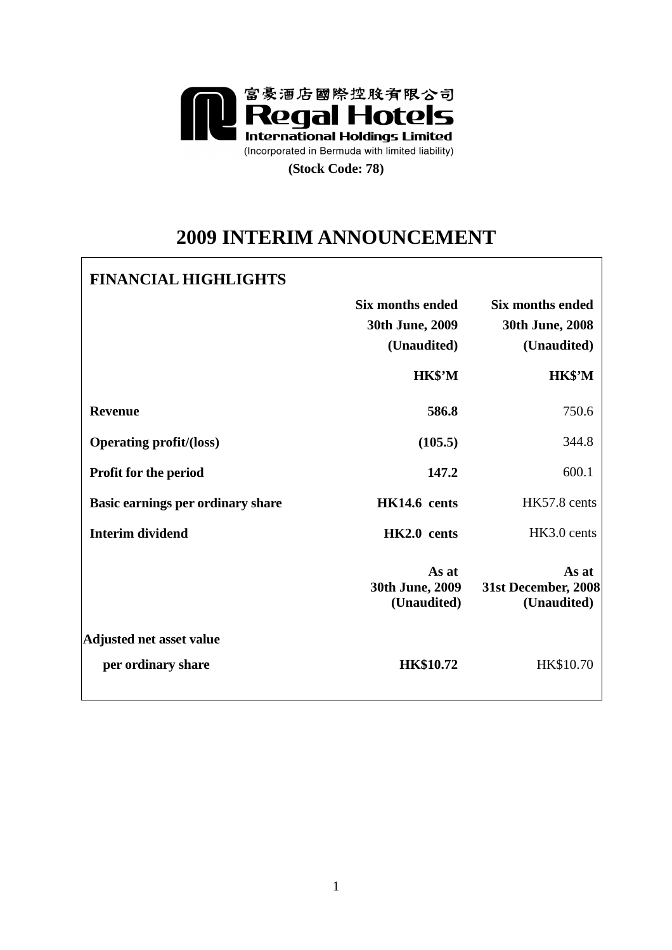

**(Stock Code: 78)** 

# **2009 INTERIM ANNOUNCEMENT**

# **FINANCIAL HIGHLIGHTS**

|                                   | <b>Six months ended</b><br>30th June, 2009<br>(Unaudited) | <b>Six months ended</b><br>30th June, 2008<br>(Unaudited) |
|-----------------------------------|-----------------------------------------------------------|-----------------------------------------------------------|
|                                   | HK\$'M                                                    | HK\$'M                                                    |
| <b>Revenue</b>                    | 586.8                                                     | 750.6                                                     |
| <b>Operating profit/(loss)</b>    | (105.5)                                                   | 344.8                                                     |
| <b>Profit for the period</b>      | 147.2                                                     | 600.1                                                     |
| Basic earnings per ordinary share | HK14.6 cents                                              | HK57.8 cents                                              |
| <b>Interim dividend</b>           | HK2.0 cents                                               | HK3.0 cents                                               |
|                                   | As at<br>30th June, 2009<br>(Unaudited)                   | As at<br>31st December, 2008<br>(Unaudited)               |
| <b>Adjusted net asset value</b>   |                                                           |                                                           |
| per ordinary share                | <b>HK\$10.72</b>                                          | HK\$10.70                                                 |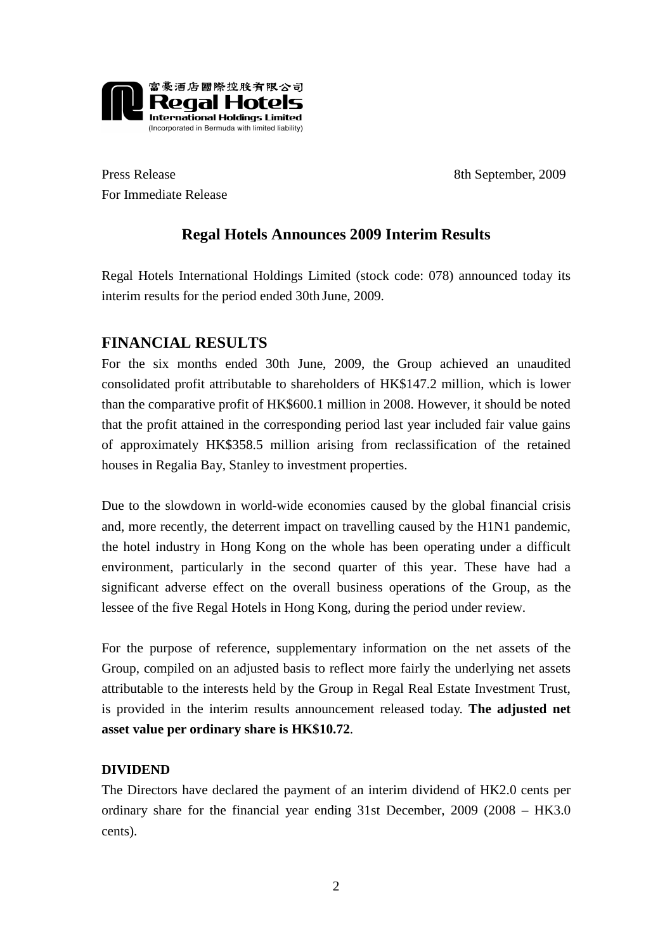

Press Release 8th September, 2009 For Immediate Release

# **Regal Hotels Announces 2009 Interim Results**

Regal Hotels International Holdings Limited (stock code: 078) announced today its interim results for the period ended 30th June, 2009.

# **FINANCIAL RESULTS**

For the six months ended 30th June, 2009, the Group achieved an unaudited consolidated profit attributable to shareholders of HK\$147.2 million, which is lower than the comparative profit of HK\$600.1 million in 2008. However, it should be noted that the profit attained in the corresponding period last year included fair value gains of approximately HK\$358.5 million arising from reclassification of the retained houses in Regalia Bay, Stanley to investment properties.

Due to the slowdown in world-wide economies caused by the global financial crisis and, more recently, the deterrent impact on travelling caused by the H1N1 pandemic, the hotel industry in Hong Kong on the whole has been operating under a difficult environment, particularly in the second quarter of this year. These have had a significant adverse effect on the overall business operations of the Group, as the lessee of the five Regal Hotels in Hong Kong, during the period under review.

For the purpose of reference, supplementary information on the net assets of the Group, compiled on an adjusted basis to reflect more fairly the underlying net assets attributable to the interests held by the Group in Regal Real Estate Investment Trust, is provided in the interim results announcement released today. **The adjusted net asset value per ordinary share is HK\$10.72**.

# **DIVIDEND**

The Directors have declared the payment of an interim dividend of HK2.0 cents per ordinary share for the financial year ending 31st December, 2009 (2008 – HK3.0 cents).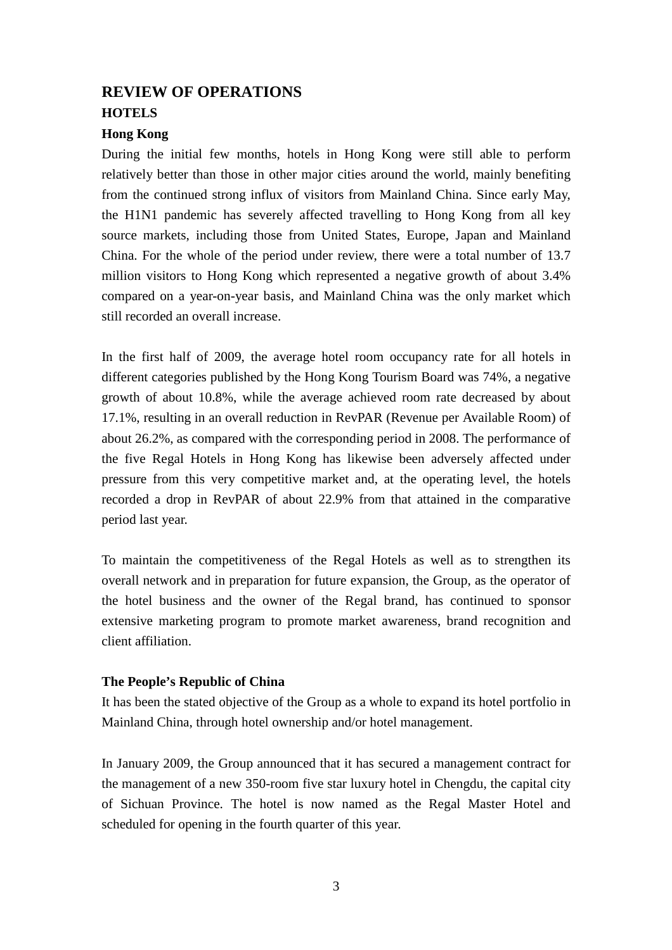# **REVIEW OF OPERATIONS HOTELS**

## **Hong Kong**

During the initial few months, hotels in Hong Kong were still able to perform relatively better than those in other major cities around the world, mainly benefiting from the continued strong influx of visitors from Mainland China. Since early May, the H1N1 pandemic has severely affected travelling to Hong Kong from all key source markets, including those from United States, Europe, Japan and Mainland China. For the whole of the period under review, there were a total number of 13.7 million visitors to Hong Kong which represented a negative growth of about 3.4% compared on a year-on-year basis, and Mainland China was the only market which still recorded an overall increase.

In the first half of 2009, the average hotel room occupancy rate for all hotels in different categories published by the Hong Kong Tourism Board was 74%, a negative growth of about 10.8%, while the average achieved room rate decreased by about 17.1%, resulting in an overall reduction in RevPAR (Revenue per Available Room) of about 26.2%, as compared with the corresponding period in 2008. The performance of the five Regal Hotels in Hong Kong has likewise been adversely affected under pressure from this very competitive market and, at the operating level, the hotels recorded a drop in RevPAR of about 22.9% from that attained in the comparative period last year.

To maintain the competitiveness of the Regal Hotels as well as to strengthen its overall network and in preparation for future expansion, the Group, as the operator of the hotel business and the owner of the Regal brand, has continued to sponsor extensive marketing program to promote market awareness, brand recognition and client affiliation.

### **The People's Republic of China**

It has been the stated objective of the Group as a whole to expand its hotel portfolio in Mainland China, through hotel ownership and/or hotel management.

In January 2009, the Group announced that it has secured a management contract for the management of a new 350-room five star luxury hotel in Chengdu, the capital city of Sichuan Province. The hotel is now named as the Regal Master Hotel and scheduled for opening in the fourth quarter of this year.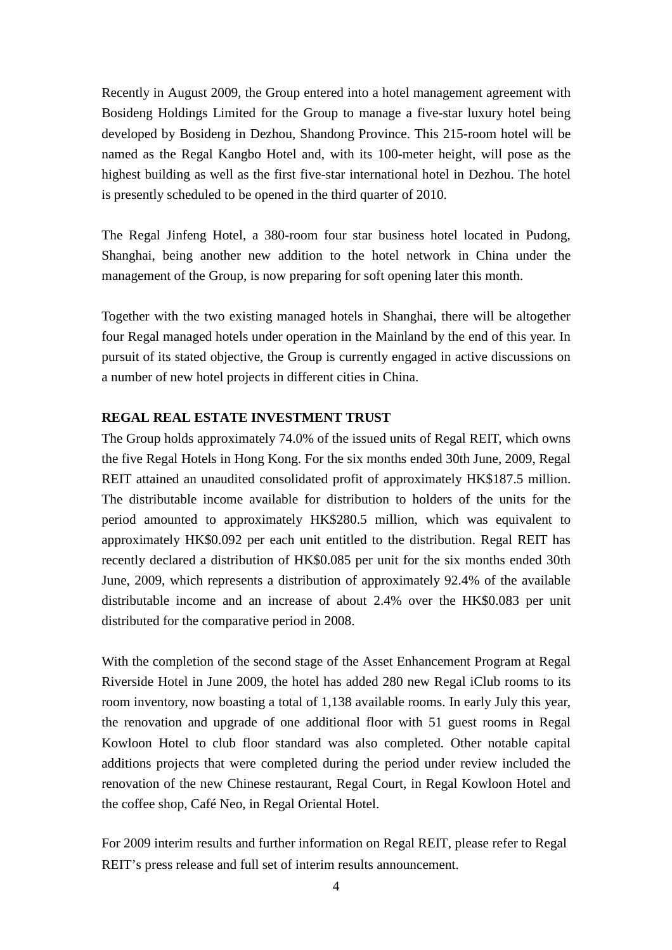Recently in August 2009, the Group entered into a hotel management agreement with Bosideng Holdings Limited for the Group to manage a five-star luxury hotel being developed by Bosideng in Dezhou, Shandong Province. This 215-room hotel will be named as the Regal Kangbo Hotel and, with its 100-meter height, will pose as the highest building as well as the first five-star international hotel in Dezhou. The hotel is presently scheduled to be opened in the third quarter of 2010.

The Regal Jinfeng Hotel, a 380-room four star business hotel located in Pudong, Shanghai, being another new addition to the hotel network in China under the management of the Group, is now preparing for soft opening later this month.

Together with the two existing managed hotels in Shanghai, there will be altogether four Regal managed hotels under operation in the Mainland by the end of this year. In pursuit of its stated objective, the Group is currently engaged in active discussions on a number of new hotel projects in different cities in China.

### **REGAL REAL ESTATE INVESTMENT TRUST**

The Group holds approximately 74.0% of the issued units of Regal REIT, which owns the five Regal Hotels in Hong Kong. For the six months ended 30th June, 2009, Regal REIT attained an unaudited consolidated profit of approximately HK\$187.5 million. The distributable income available for distribution to holders of the units for the period amounted to approximately HK\$280.5 million, which was equivalent to approximately HK\$0.092 per each unit entitled to the distribution. Regal REIT has recently declared a distribution of HK\$0.085 per unit for the six months ended 30th June, 2009, which represents a distribution of approximately 92.4% of the available distributable income and an increase of about 2.4% over the HK\$0.083 per unit distributed for the comparative period in 2008.

With the completion of the second stage of the Asset Enhancement Program at Regal Riverside Hotel in June 2009, the hotel has added 280 new Regal iClub rooms to its room inventory, now boasting a total of 1,138 available rooms. In early July this year, the renovation and upgrade of one additional floor with 51 guest rooms in Regal Kowloon Hotel to club floor standard was also completed. Other notable capital additions projects that were completed during the period under review included the renovation of the new Chinese restaurant, Regal Court, in Regal Kowloon Hotel and the coffee shop, Café Neo, in Regal Oriental Hotel.

For 2009 interim results and further information on Regal REIT, please refer to Regal REIT's press release and full set of interim results announcement.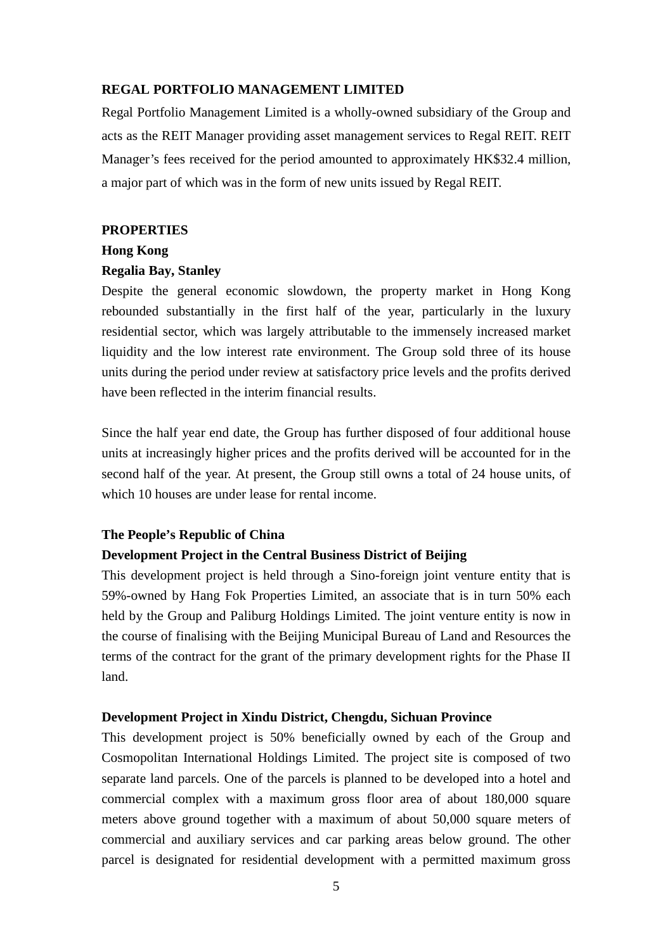#### **REGAL PORTFOLIO MANAGEMENT LIMITED**

Regal Portfolio Management Limited is a wholly-owned subsidiary of the Group and acts as the REIT Manager providing asset management services to Regal REIT. REIT Manager's fees received for the period amounted to approximately HK\$32.4 million, a major part of which was in the form of new units issued by Regal REIT.

#### **PROPERTIES**

#### **Hong Kong**

#### **Regalia Bay, Stanley**

Despite the general economic slowdown, the property market in Hong Kong rebounded substantially in the first half of the year, particularly in the luxury residential sector, which was largely attributable to the immensely increased market liquidity and the low interest rate environment. The Group sold three of its house units during the period under review at satisfactory price levels and the profits derived have been reflected in the interim financial results.

Since the half year end date, the Group has further disposed of four additional house units at increasingly higher prices and the profits derived will be accounted for in the second half of the year. At present, the Group still owns a total of 24 house units, of which 10 houses are under lease for rental income.

#### **The People's Republic of China**

#### **Development Project in the Central Business District of Beijing**

This development project is held through a Sino-foreign joint venture entity that is 59%-owned by Hang Fok Properties Limited, an associate that is in turn 50% each held by the Group and Paliburg Holdings Limited. The joint venture entity is now in the course of finalising with the Beijing Municipal Bureau of Land and Resources the terms of the contract for the grant of the primary development rights for the Phase II land.

#### **Development Project in Xindu District, Chengdu, Sichuan Province**

This development project is 50% beneficially owned by each of the Group and Cosmopolitan International Holdings Limited. The project site is composed of two separate land parcels. One of the parcels is planned to be developed into a hotel and commercial complex with a maximum gross floor area of about 180,000 square meters above ground together with a maximum of about 50,000 square meters of commercial and auxiliary services and car parking areas below ground. The other parcel is designated for residential development with a permitted maximum gross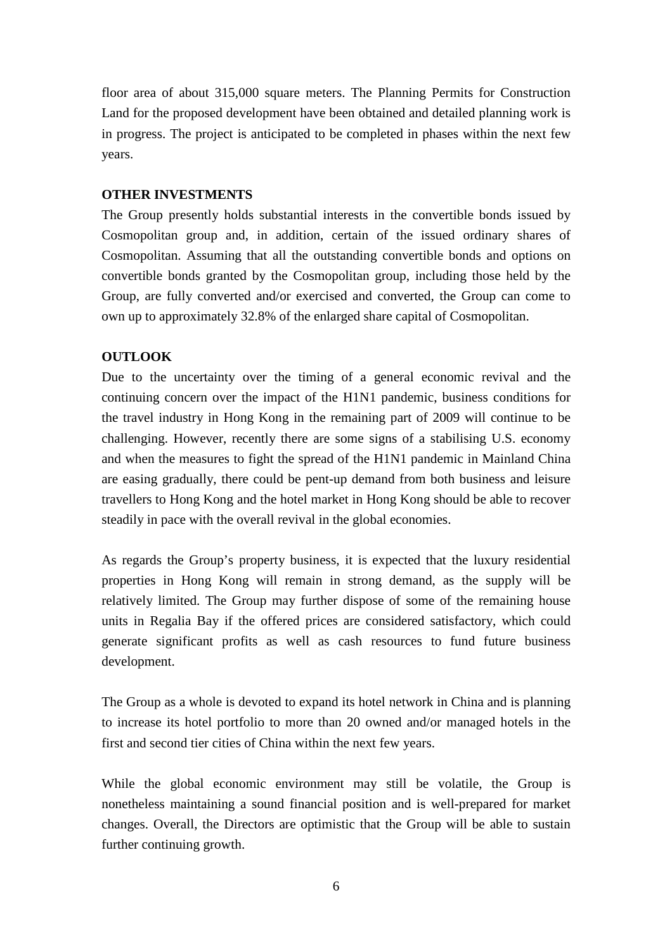floor area of about 315,000 square meters. The Planning Permits for Construction Land for the proposed development have been obtained and detailed planning work is in progress. The project is anticipated to be completed in phases within the next few years.

## **OTHER INVESTMENTS**

The Group presently holds substantial interests in the convertible bonds issued by Cosmopolitan group and, in addition, certain of the issued ordinary shares of Cosmopolitan. Assuming that all the outstanding convertible bonds and options on convertible bonds granted by the Cosmopolitan group, including those held by the Group, are fully converted and/or exercised and converted, the Group can come to own up to approximately 32.8% of the enlarged share capital of Cosmopolitan.

## **OUTLOOK**

Due to the uncertainty over the timing of a general economic revival and the continuing concern over the impact of the H1N1 pandemic, business conditions for the travel industry in Hong Kong in the remaining part of 2009 will continue to be challenging. However, recently there are some signs of a stabilising U.S. economy and when the measures to fight the spread of the H1N1 pandemic in Mainland China are easing gradually, there could be pent-up demand from both business and leisure travellers to Hong Kong and the hotel market in Hong Kong should be able to recover steadily in pace with the overall revival in the global economies.

As regards the Group's property business, it is expected that the luxury residential properties in Hong Kong will remain in strong demand, as the supply will be relatively limited. The Group may further dispose of some of the remaining house units in Regalia Bay if the offered prices are considered satisfactory, which could generate significant profits as well as cash resources to fund future business development.

The Group as a whole is devoted to expand its hotel network in China and is planning to increase its hotel portfolio to more than 20 owned and/or managed hotels in the first and second tier cities of China within the next few years.

While the global economic environment may still be volatile, the Group is nonetheless maintaining a sound financial position and is well-prepared for market changes. Overall, the Directors are optimistic that the Group will be able to sustain further continuing growth.